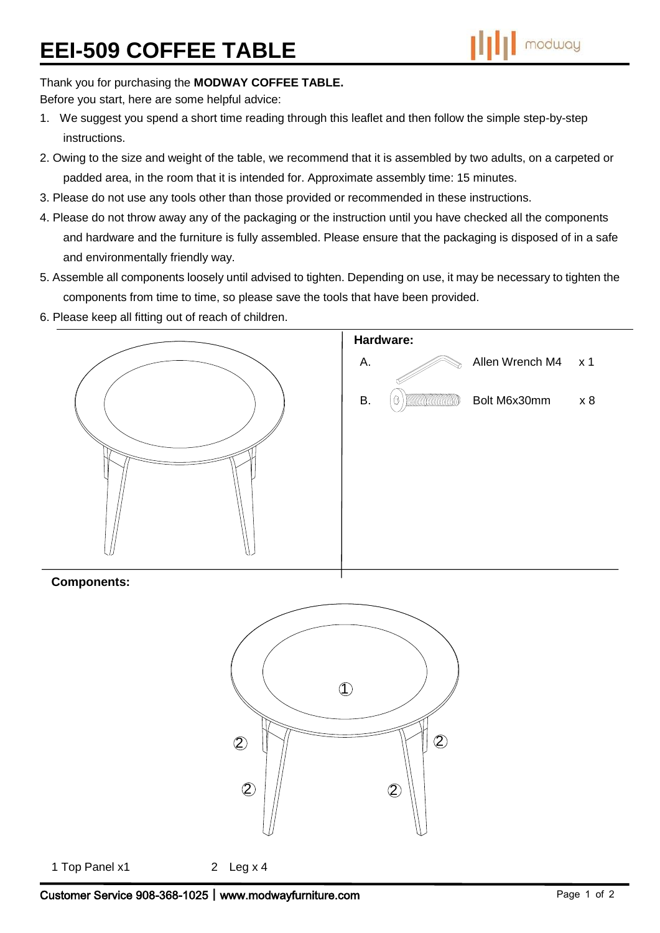## Thank you for purchasing the **MODWAY COFFEE TABLE.**

Before you start, here are some helpful advice:

- 1. We suggest you spend a short time reading through this leaflet and then follow the simple step-by-step instructions.
- 2. Owing to the size and weight of the table, we recommend that it is assembled by two adults, on a carpeted or padded area, in the room that it is intended for. Approximate assembly time: 15 minutes.
- 3. Please do not use any tools other than those provided or recommended in these instructions.
- 4. Please do not throw away any of the packaging or the instruction until you have checked all the components and hardware and the furniture is fully assembled. Please ensure that the packaging is disposed of in a safe and environmentally friendly way.
- 5. Assemble all components loosely until advised to tighten. Depending on use, it may be necessary to tighten the components from time to time, so please save the tools that have been provided.
- 6. Please keep all fitting out of reach of children.



## **Components:**



1 Top Panel x1 2 Leg x 4